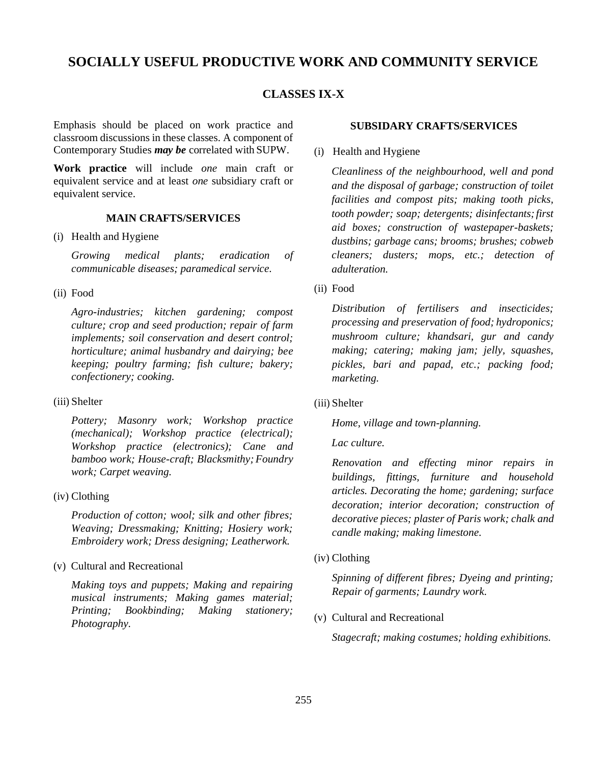# **SOCIALLY USEFUL PRODUCTIVE WORK AND COMMUNITY SERVICE**

# **CLASSES IX-X**

Emphasis should be placed on work practice and classroom discussions in these classes. A component of Contemporary Studies *may be* correlated with SUPW.

**Work practice** will include *one* main craft or equivalent service and at least *one* subsidiary craft or equivalent service.

# **MAIN CRAFTS/SERVICES**

(i) Health and Hygiene

*Growing medical plants; eradication of communicable diseases; paramedical service.*

(ii) Food

*Agro-industries; kitchen gardening; compost culture; crop and seed production; repair of farm implements; soil conservation and desert control; horticulture; animal husbandry and dairying; bee keeping; poultry farming; fish culture; bakery; confectionery; cooking.*

(iii) Shelter

*Pottery; Masonry work; Workshop practice (mechanical); Workshop practice (electrical); Workshop practice (electronics); Cane and bamboo work; House-craft; Blacksmithy;Foundry work; Carpet weaving.*

(iv) Clothing

*Production of cotton; wool; silk and other fibres; Weaving; Dressmaking; Knitting; Hosiery work; Embroidery work; Dress designing; Leatherwork.*

(v) Cultural and Recreational

*Making toys and puppets; Making and repairing musical instruments; Making games material; Printing; Bookbinding; Making stationery; Photography.*

#### **SUBSIDARY CRAFTS/SERVICES**

(i) Health and Hygiene

*Cleanliness of the neighbourhood, well and pond and the disposal of garbage; construction of toilet facilities and compost pits; making tooth picks, tooth powder; soap; detergents; disinfectants;first aid boxes; construction of wastepaper-baskets; dustbins; garbage cans; brooms; brushes; cobweb cleaners; dusters; mops, etc.; detection of adulteration.*

(ii) Food

*Distribution of fertilisers and insecticides; processing and preservation of food; hydroponics; mushroom culture; khandsari, gur and candy making; catering; making jam; jelly, squashes, pickles, bari and papad, etc.; packing food; marketing.*

(iii) Shelter

*Home, village and town-planning.* 

#### *Lac culture.*

*Renovation and effecting minor repairs in buildings, fittings, furniture and household articles. Decorating the home; gardening; surface decoration; interior decoration; construction of decorative pieces; plaster of Paris work; chalk and candle making; making limestone.*

(iv) Clothing

*Spinning of different fibres; Dyeing and printing; Repair of garments; Laundry work.*

(v) Cultural and Recreational

*Stagecraft; making costumes; holding exhibitions.*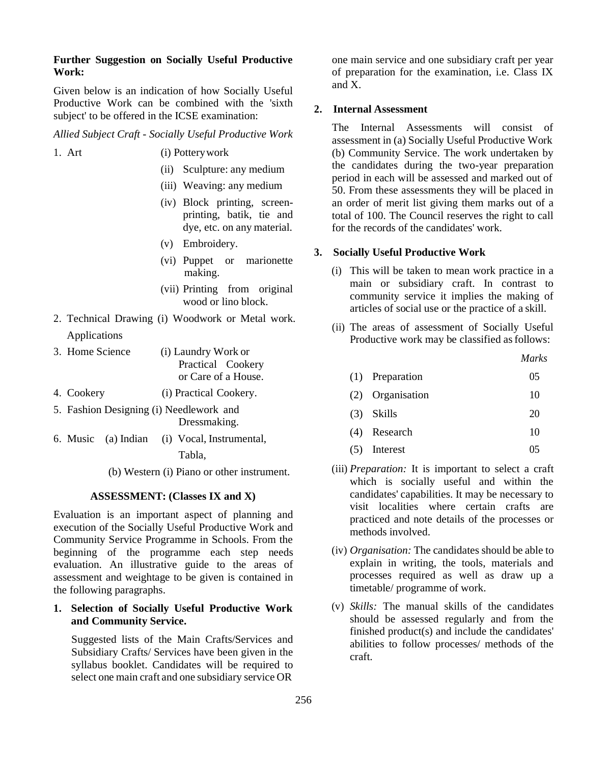### **Further Suggestion on Socially Useful Productive Work:**

Given below is an indication of how Socially Useful Productive Work can be combined with the 'sixth subject' to be offered in the ICSE examination:

*Allied Subject Craft - Socially Useful Productive Work*

- 
- 1. Art (i) Potterywork
	- (ii) Sculpture: any medium
	- (iii) Weaving: any medium
	- (iv) Block printing, screenprinting, batik, tie and dye, etc. on any material.
	- (v) Embroidery.
	- (vi) Puppet or marionette making.
	- (vii) Printing from original wood or lino block.
- 2. Technical Drawing (i) Woodwork or Metal work. Applications
- 3. Home Science (i) Laundry Work or Practical Cookery or Care of a House.
- 4. Cookery (i) Practical Cookery.
- 5. Fashion Designing (i) Needlework and Dressmaking.
- 6. Music (a) Indian (i) Vocal, Instrumental, Tabla,

(b) Western (i) Piano or other instrument.

### **ASSESSMENT: (Classes IX and X)**

Evaluation is an important aspect of planning and execution of the Socially Useful Productive Work and Community Service Programme in Schools. From the beginning of the programme each step needs evaluation. An illustrative guide to the areas of assessment and weightage to be given is contained in the following paragraphs.

## **1. Selection of Socially Useful Productive Work and Community Service.**

Suggested lists of the Main Crafts/Services and Subsidiary Crafts/ Services have been given in the syllabus booklet. Candidates will be required to select one main craft and one subsidiary service OR

one main service and one subsidiary craft per year of preparation for the examination, i.e. Class IX and X.

### **2. Internal Assessment**

The Internal Assessments will consist of assessment in (a) Socially Useful Productive Work (b) Community Service. The work undertaken by the candidates during the two-year preparation period in each will be assessed and marked out of 50. From these assessments they will be placed in an order of merit list giving them marks out of a total of 100. The Council reserves the right to call for the records of the candidates' work.

### **3. Socially Useful Productive Work**

- (i) This will be taken to mean work practice in a main or subsidiary craft. In contrast to community service it implies the making of articles of social use or the practice of a skill.
- (ii) The areas of assessment of Socially Useful Productive work may be classified as follows:

|                   | <b>Marks</b> |
|-------------------|--------------|
| $(1)$ Preparation | በና           |

| $\left(1\right)$ | 110 pulation | $\mathsf{v}\mathsf{v}$ |
|------------------|--------------|------------------------|
|                  |              |                        |
|                  |              |                        |

- (2) Organisation 10
- (3) Skills 20
- (4) Research 10
- $(5)$  Interest  $05$
- (iii) *Preparation:* It is important to select a craft which is socially useful and within the candidates' capabilities. It may be necessary to visit localities where certain crafts are practiced and note details of the processes or methods involved.
- (iv) *Organisation:* The candidates should be able to explain in writing, the tools, materials and processes required as well as draw up a timetable/ programme of work.
- (v) *Skills:* The manual skills of the candidates should be assessed regularly and from the finished product(s) and include the candidates' abilities to follow processes/ methods of the craft.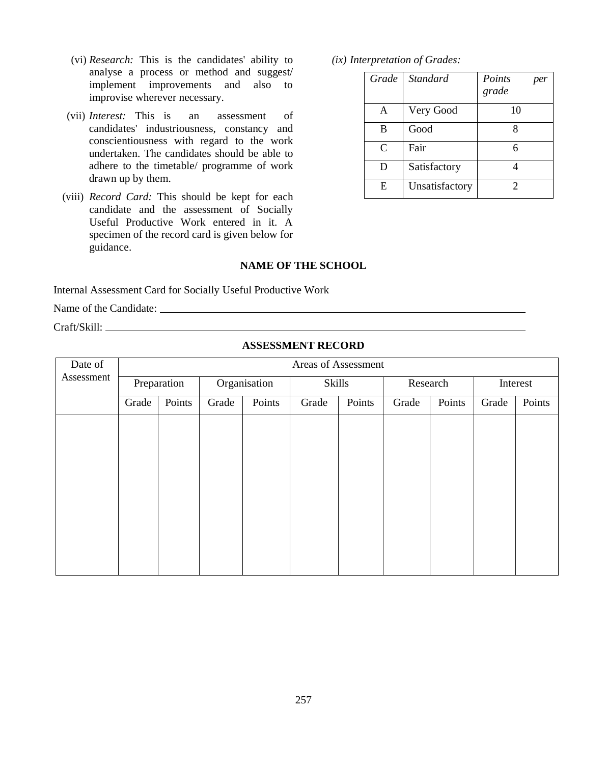- (vi) *Research:* This is the candidates' ability to analyse a process or method and suggest/ implement improvements and also to improvise wherever necessary.
- (vii) *Interest:* This is an assessment of candidates' industriousness, constancy and conscientiousness with regard to the work undertaken. The candidates should be able to adhere to the timetable/ programme of work drawn up by them.
- (viii) *Record Card:* This should be kept for each candidate and the assessment of Socially Useful Productive Work entered in it. A specimen of the record card is given below for guidance.

*(ix) Interpretation of Grades:*

| Grade | Standard       | Points<br>per<br>grade |
|-------|----------------|------------------------|
| A     | Very Good      | 10                     |
| B     | Good           |                        |
| C     | Fair           | 6                      |
| D     | Satisfactory   |                        |
| E     | Unsatisfactory |                        |

### **NAME OF THE SCHOOL**

Internal Assessment Card for Socially Useful Productive Work

Name of the Candidate:

Craft/Skill:

# **ASSESSMENT RECORD**

| Date of    | Areas of Assessment |        |              |        |        |        |          |        |          |        |
|------------|---------------------|--------|--------------|--------|--------|--------|----------|--------|----------|--------|
| Assessment | Preparation         |        | Organisation |        | Skills |        | Research |        | Interest |        |
|            | Grade               | Points | Grade        | Points | Grade  | Points | Grade    | Points | Grade    | Points |
|            |                     |        |              |        |        |        |          |        |          |        |
|            |                     |        |              |        |        |        |          |        |          |        |
|            |                     |        |              |        |        |        |          |        |          |        |
|            |                     |        |              |        |        |        |          |        |          |        |
|            |                     |        |              |        |        |        |          |        |          |        |
|            |                     |        |              |        |        |        |          |        |          |        |
|            |                     |        |              |        |        |        |          |        |          |        |
|            |                     |        |              |        |        |        |          |        |          |        |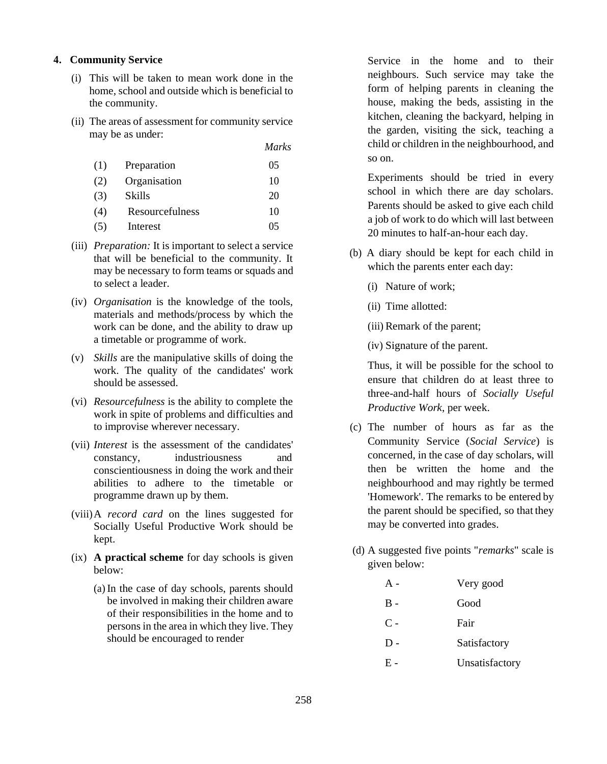### **4. Community Service**

- (i) This will be taken to mean work done in the home, school and outside which is beneficial to the community.
- (ii) The areas of assessment for community service may be as under:

|     |                 | <i>Marks</i> |
|-----|-----------------|--------------|
| (1) | Preparation     | 05           |
| (2) | Organisation    | 10           |
| (3) | Skills          | 20           |
| (4) | Resourcefulness | 10           |
| (5) | Interest        | 05           |

- (iii) *Preparation:* It is important to select a service that will be beneficial to the community. It may be necessary to form teams or squads and to select a leader.
- (iv) *Organisation* is the knowledge of the tools, materials and methods/process by which the work can be done, and the ability to draw up a timetable or programme of work.
- (v) *Skills* are the manipulative skills of doing the work. The quality of the candidates' work should be assessed.
- (vi) *Resourcefulness* is the ability to complete the work in spite of problems and difficulties and to improvise wherever necessary.
- (vii) *Interest* is the assessment of the candidates' constancy, industriousness and conscientiousness in doing the work and their abilities to adhere to the timetable or programme drawn up by them.
- (viii)A *record card* on the lines suggested for Socially Useful Productive Work should be kept.
- (ix) **A practical scheme** for day schools is given below:
	- (a) In the case of day schools, parents should be involved in making their children aware of their responsibilities in the home and to persons in the area in which they live. They should be encouraged to render

Service in the home and to their neighbours. Such service may take the form of helping parents in cleaning the house, making the beds, assisting in the kitchen, cleaning the backyard, helping in the garden, visiting the sick, teaching a child or children in the neighbourhood, and so on.

Experiments should be tried in every school in which there are day scholars. Parents should be asked to give each child a job of work to do which will last between 20 minutes to half-an-hour each day.

- (b) A diary should be kept for each child in which the parents enter each day:
	- (i) Nature of work;
	- (ii) Time allotted:
	- (iii) Remark of the parent;
	- (iv) Signature of the parent.

Thus, it will be possible for the school to ensure that children do at least three to three-and-half hours of *Socially Useful Productive Work*, per week.

- (c) The number of hours as far as the Community Service (*Social Service*) is concerned, in the case of day scholars, will then be written the home and the neighbourhood and may rightly be termed 'Homework'. The remarks to be entered by the parent should be specified, so that they may be converted into grades.
- (d) A suggested five points "*remarks*" scale is given below:

| $A -$ | Very good      |
|-------|----------------|
| $B -$ | Good           |
| $C -$ | Fair           |
| $D -$ | Satisfactory   |
| Е -   | Unsatisfactory |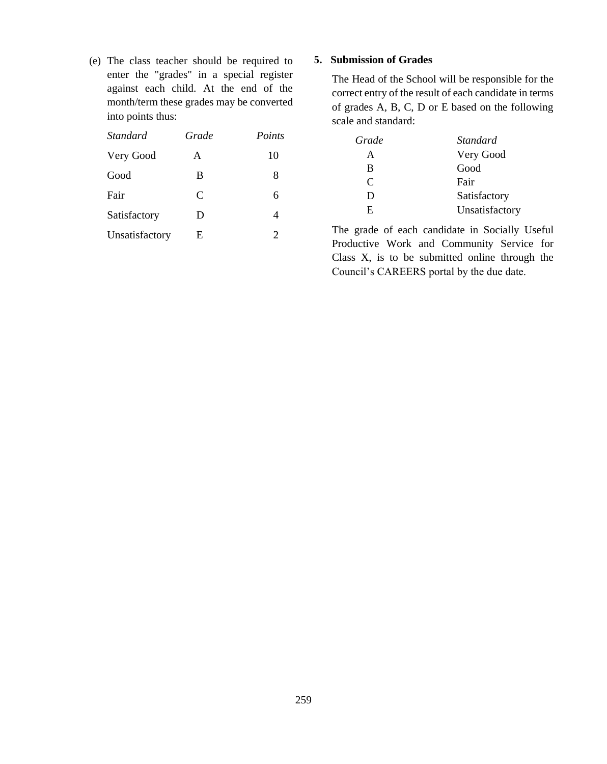(e) The class teacher should be required to enter the "grades" in a special register against each child. At the end of the month/term these grades may be converted into points thus:

| Standard       | Grade | Points |
|----------------|-------|--------|
| Very Good      | A     | 10     |
| Good           | B     | 8      |
| Fair           | C     | 6      |
| Satisfactory   | D     | 4      |
| Unsatisfactory | E     | 2      |

# **5. Submission of Grades**

The Head of the School will be responsible for the correct entry of the result of each candidate in terms of grades A, B, C, D or E based on the following scale and standard:

| Grade | Standard       |
|-------|----------------|
| A     | Very Good      |
| B     | Good           |
| C     | Fair           |
| D     | Satisfactory   |
| E.    | Unsatisfactory |

The grade of each candidate in Socially Useful Productive Work and Community Service for Class X, is to be submitted online through the Council's CAREERS portal by the due date.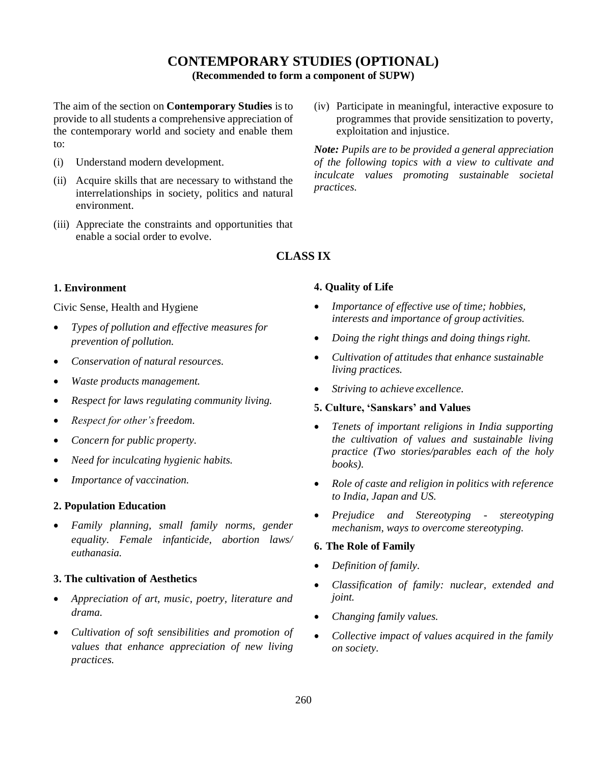# **CONTEMPORARY STUDIES (OPTIONAL)**

**(Recommended to form a component of SUPW)**

The aim of the section on **Contemporary Studies** is to provide to all students a comprehensive appreciation of the contemporary world and society and enable them to:

- (i) Understand modern development.
- (ii) Acquire skills that are necessary to withstand the interrelationships in society, politics and natural environment.
- (iii) Appreciate the constraints and opportunities that enable a social order to evolve.
- **1. Environment**

Civic Sense, Health and Hygiene

- *Types of pollution and effective measures for prevention of pollution.*
- *Conservation of natural resources.*
- *Waste products management.*
- *Respect for laws regulating community living.*
- *Respect for other'sfreedom.*
- *Concern for public property.*
- *Need for inculcating hygienic habits.*
- *Importance of vaccination.*

# **2. Population Education**

• *Family planning, small family norms, gender equality. Female infanticide, abortion laws/ euthanasia.*

# **3. The cultivation of Aesthetics**

- *Appreciation of art, music, poetry, literature and drama.*
- *Cultivation of soft sensibilities and promotion of values that enhance appreciation of new living practices.*

(iv) Participate in meaningful, interactive exposure to programmes that provide sensitization to poverty, exploitation and injustice.

*Note: Pupils are to be provided a general appreciation of the following topics with a view to cultivate and inculcate values promoting sustainable societal practices.*

# **CLASS IX**

### **4. Quality of Life**

- *Importance of effective use of time; hobbies, interests and importance of group activities.*
- *Doing the right things and doing things right.*
- *Cultivation of attitudes that enhance sustainable living practices.*
- *Striving to achieve excellence.*

### **5. Culture, 'Sanskars' and Values**

- *Tenets of important religions in India supporting the cultivation of values and sustainable living practice (Two stories/parables each of the holy books).*
- *Role of caste and religion in politics with reference to India, Japan and US.*
- *Prejudice and Stereotyping - stereotyping mechanism, ways to overcome stereotyping.*

### **6. The Role of Family**

- *Definition of family.*
- *Classification of family: nuclear, extended and joint.*
- *Changing family values.*
- *Collective impact of values acquired in the family on society.*